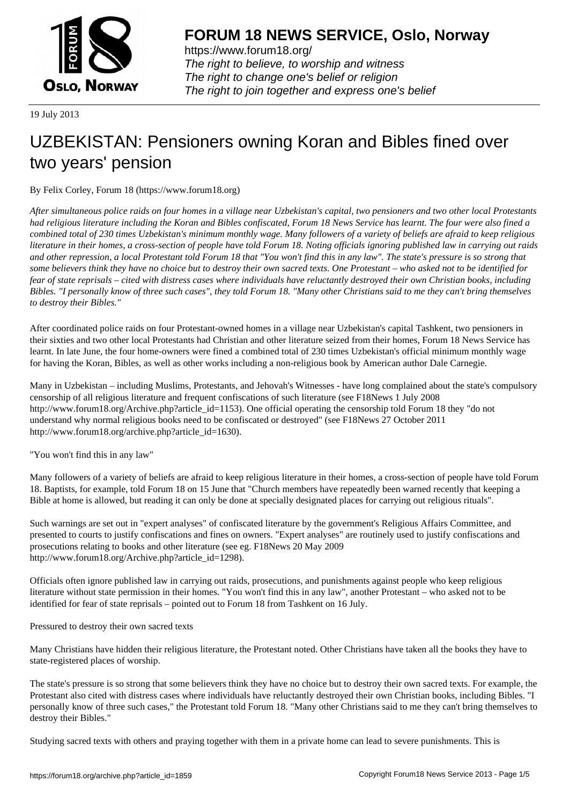

https://www.forum18.org/ The right to believe, to worship and witness The right to change one's belief or religion [The right to join together a](https://www.forum18.org/)nd express one's belief

19 July 2013

# [UZBEKISTAN:](https://www.forum18.org) Pensioners owning Koran and Bibles fined over two years' pension

By Felix Corley, Forum 18 (https://www.forum18.org)

*After simultaneous police raids on four homes in a village near Uzbekistan's capital, two pensioners and two other local Protestants had religious literature including the Koran and Bibles confiscated, Forum 18 News Service has learnt. The four were also fined a combined total of 230 times Uzbekistan's minimum monthly wage. Many followers of a variety of beliefs are afraid to keep religious literature in their homes, a cross-section of people have told Forum 18. Noting officials ignoring published law in carrying out raids and other repression, a local Protestant told Forum 18 that "You won't find this in any law". The state's pressure is so strong that some believers think they have no choice but to destroy their own sacred texts. One Protestant – who asked not to be identified for fear of state reprisals – cited with distress cases where individuals have reluctantly destroyed their own Christian books, including Bibles. "I personally know of three such cases", they told Forum 18. "Many other Christians said to me they can't bring themselves to destroy their Bibles."*

After coordinated police raids on four Protestant-owned homes in a village near Uzbekistan's capital Tashkent, two pensioners in their sixties and two other local Protestants had Christian and other literature seized from their homes, Forum 18 News Service has learnt. In late June, the four home-owners were fined a combined total of 230 times Uzbekistan's official minimum monthly wage for having the Koran, Bibles, as well as other works including a non-religious book by American author Dale Carnegie.

Many in Uzbekistan – including Muslims, Protestants, and Jehovah's Witnesses - have long complained about the state's compulsory censorship of all religious literature and frequent confiscations of such literature (see F18News 1 July 2008 http://www.forum18.org/Archive.php?article\_id=1153). One official operating the censorship told Forum 18 they "do not understand why normal religious books need to be confiscated or destroyed" (see F18News 27 October 2011 http://www.forum18.org/archive.php?article\_id=1630).

"You won't find this in any law"

Many followers of a variety of beliefs are afraid to keep religious literature in their homes, a cross-section of people have told Forum 18. Baptists, for example, told Forum 18 on 15 June that "Church members have repeatedly been warned recently that keeping a Bible at home is allowed, but reading it can only be done at specially designated places for carrying out religious rituals".

Such warnings are set out in "expert analyses" of confiscated literature by the government's Religious Affairs Committee, and presented to courts to justify confiscations and fines on owners. "Expert analyses" are routinely used to justify confiscations and prosecutions relating to books and other literature (see eg. F18News 20 May 2009 http://www.forum18.org/Archive.php?article\_id=1298).

Officials often ignore published law in carrying out raids, prosecutions, and punishments against people who keep religious literature without state permission in their homes. "You won't find this in any law", another Protestant – who asked not to be identified for fear of state reprisals – pointed out to Forum 18 from Tashkent on 16 July.

Pressured to destroy their own sacred texts

Many Christians have hidden their religious literature, the Protestant noted. Other Christians have taken all the books they have to state-registered places of worship.

The state's pressure is so strong that some believers think they have no choice but to destroy their own sacred texts. For example, the Protestant also cited with distress cases where individuals have reluctantly destroyed their own Christian books, including Bibles. "I personally know of three such cases," the Protestant told Forum 18. "Many other Christians said to me they can't bring themselves to destroy their Bibles."

Studying sacred texts with others and praying together with them in a private home can lead to severe punishments. This is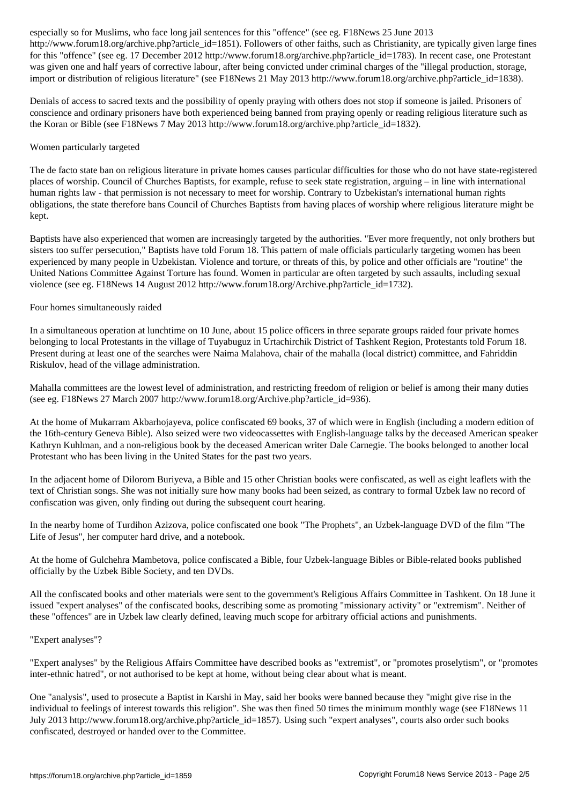. The contraction is the 1851 such article in the other faith such as Christian in the contraction of other faith such as Christian in the Christian in the Christian in the Christian in the Christian in the Christian in t for this "offence" (see eg. 17 December 2012 http://www.forum18.org/archive.php?article\_id=1783). In recent case, one Protestant was given one and half years of corrective labour, after being convicted under criminal charges of the "illegal production, storage, import or distribution of religious literature" (see F18News 21 May 2013 http://www.forum18.org/archive.php?article\_id=1838).

Denials of access to sacred texts and the possibility of openly praying with others does not stop if someone is jailed. Prisoners of conscience and ordinary prisoners have both experienced being banned from praying openly or reading religious literature such as the Koran or Bible (see F18News 7 May 2013 http://www.forum18.org/archive.php?article\_id=1832).

## Women particularly targeted

The de facto state ban on religious literature in private homes causes particular difficulties for those who do not have state-registered places of worship. Council of Churches Baptists, for example, refuse to seek state registration, arguing – in line with international human rights law - that permission is not necessary to meet for worship. Contrary to Uzbekistan's international human rights obligations, the state therefore bans Council of Churches Baptists from having places of worship where religious literature might be kept.

Baptists have also experienced that women are increasingly targeted by the authorities. "Ever more frequently, not only brothers but sisters too suffer persecution," Baptists have told Forum 18. This pattern of male officials particularly targeting women has been experienced by many people in Uzbekistan. Violence and torture, or threats of this, by police and other officials are "routine" the United Nations Committee Against Torture has found. Women in particular are often targeted by such assaults, including sexual violence (see eg. F18News 14 August 2012 http://www.forum18.org/Archive.php?article\_id=1732).

## Four homes simultaneously raided

In a simultaneous operation at lunchtime on 10 June, about 15 police officers in three separate groups raided four private homes belonging to local Protestants in the village of Tuyabuguz in Urtachirchik District of Tashkent Region, Protestants told Forum 18. Present during at least one of the searches were Naima Malahova, chair of the mahalla (local district) committee, and Fahriddin Riskulov, head of the village administration.

Mahalla committees are the lowest level of administration, and restricting freedom of religion or belief is among their many duties (see eg. F18News 27 March 2007 http://www.forum18.org/Archive.php?article\_id=936).

At the home of Mukarram Akbarhojayeva, police confiscated 69 books, 37 of which were in English (including a modern edition of the 16th-century Geneva Bible). Also seized were two videocassettes with English-language talks by the deceased American speaker Kathryn Kuhlman, and a non-religious book by the deceased American writer Dale Carnegie. The books belonged to another local Protestant who has been living in the United States for the past two years.

In the adjacent home of Dilorom Buriyeva, a Bible and 15 other Christian books were confiscated, as well as eight leaflets with the text of Christian songs. She was not initially sure how many books had been seized, as contrary to formal Uzbek law no record of confiscation was given, only finding out during the subsequent court hearing.

In the nearby home of Turdihon Azizova, police confiscated one book "The Prophets", an Uzbek-language DVD of the film "The Life of Jesus", her computer hard drive, and a notebook.

At the home of Gulchehra Mambetova, police confiscated a Bible, four Uzbek-language Bibles or Bible-related books published officially by the Uzbek Bible Society, and ten DVDs.

All the confiscated books and other materials were sent to the government's Religious Affairs Committee in Tashkent. On 18 June it issued "expert analyses" of the confiscated books, describing some as promoting "missionary activity" or "extremism". Neither of these "offences" are in Uzbek law clearly defined, leaving much scope for arbitrary official actions and punishments.

### "Expert analyses"?

"Expert analyses" by the Religious Affairs Committee have described books as "extremist", or "promotes proselytism", or "promotes inter-ethnic hatred", or not authorised to be kept at home, without being clear about what is meant.

One "analysis", used to prosecute a Baptist in Karshi in May, said her books were banned because they "might give rise in the individual to feelings of interest towards this religion". She was then fined 50 times the minimum monthly wage (see F18News 11 July 2013 http://www.forum18.org/archive.php?article\_id=1857). Using such "expert analyses", courts also order such books confiscated, destroyed or handed over to the Committee.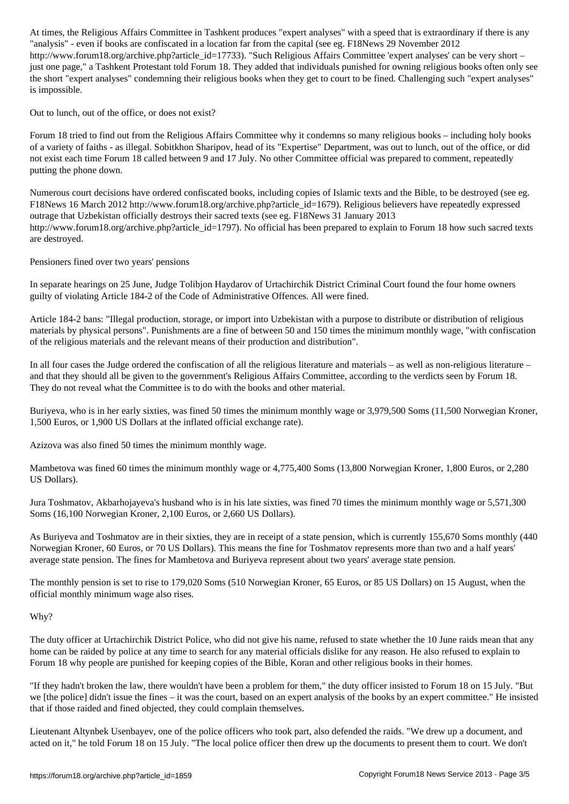"analysis" - even if books are confiscated in a location far from the capital (see eg. F18News 29 November 2012 http://www.forum18.org/archive.php?article\_id=17733). "Such Religious Affairs Committee 'expert analyses' can be very short – just one page," a Tashkent Protestant told Forum 18. They added that individuals punished for owning religious books often only see the short "expert analyses" condemning their religious books when they get to court to be fined. Challenging such "expert analyses" is impossible.

Out to lunch, out of the office, or does not exist?

Forum 18 tried to find out from the Religious Affairs Committee why it condemns so many religious books – including holy books of a variety of faiths - as illegal. Sobitkhon Sharipov, head of its "Expertise" Department, was out to lunch, out of the office, or did not exist each time Forum 18 called between 9 and 17 July. No other Committee official was prepared to comment, repeatedly putting the phone down.

Numerous court decisions have ordered confiscated books, including copies of Islamic texts and the Bible, to be destroyed (see eg. F18News 16 March 2012 http://www.forum18.org/archive.php?article\_id=1679). Religious believers have repeatedly expressed outrage that Uzbekistan officially destroys their sacred texts (see eg. F18News 31 January 2013 http://www.forum18.org/archive.php?article\_id=1797). No official has been prepared to explain to Forum 18 how such sacred texts are destroyed.

Pensioners fined over two years' pensions

In separate hearings on 25 June, Judge Tolibjon Haydarov of Urtachirchik District Criminal Court found the four home owners guilty of violating Article 184-2 of the Code of Administrative Offences. All were fined.

Article 184-2 bans: "Illegal production, storage, or import into Uzbekistan with a purpose to distribute or distribution of religious materials by physical persons". Punishments are a fine of between 50 and 150 times the minimum monthly wage, "with confiscation of the religious materials and the relevant means of their production and distribution".

In all four cases the Judge ordered the confiscation of all the religious literature and materials – as well as non-religious literature – and that they should all be given to the government's Religious Affairs Committee, according to the verdicts seen by Forum 18. They do not reveal what the Committee is to do with the books and other material.

Buriyeva, who is in her early sixties, was fined 50 times the minimum monthly wage or 3,979,500 Soms (11,500 Norwegian Kroner, 1,500 Euros, or 1,900 US Dollars at the inflated official exchange rate).

Azizova was also fined 50 times the minimum monthly wage.

Mambetova was fined 60 times the minimum monthly wage or 4,775,400 Soms (13,800 Norwegian Kroner, 1,800 Euros, or 2,280 US Dollars).

Jura Toshmatov, Akbarhojayeva's husband who is in his late sixties, was fined 70 times the minimum monthly wage or 5,571,300 Soms (16,100 Norwegian Kroner, 2,100 Euros, or 2,660 US Dollars).

As Buriyeva and Toshmatov are in their sixties, they are in receipt of a state pension, which is currently 155,670 Soms monthly (440 Norwegian Kroner, 60 Euros, or 70 US Dollars). This means the fine for Toshmatov represents more than two and a half years' average state pension. The fines for Mambetova and Buriyeva represent about two years' average state pension.

The monthly pension is set to rise to 179,020 Soms (510 Norwegian Kroner, 65 Euros, or 85 US Dollars) on 15 August, when the official monthly minimum wage also rises.

### Why?

The duty officer at Urtachirchik District Police, who did not give his name, refused to state whether the 10 June raids mean that any home can be raided by police at any time to search for any material officials dislike for any reason. He also refused to explain to Forum 18 why people are punished for keeping copies of the Bible, Koran and other religious books in their homes.

"If they hadn't broken the law, there wouldn't have been a problem for them," the duty officer insisted to Forum 18 on 15 July. "But we [the police] didn't issue the fines – it was the court, based on an expert analysis of the books by an expert committee." He insisted that if those raided and fined objected, they could complain themselves.

Lieutenant Altynbek Usenbayev, one of the police officers who took part, also defended the raids. "We drew up a document, and acted on it," he told Forum 18 on 15 July. "The local police officer then drew up the documents to present them to court. We don't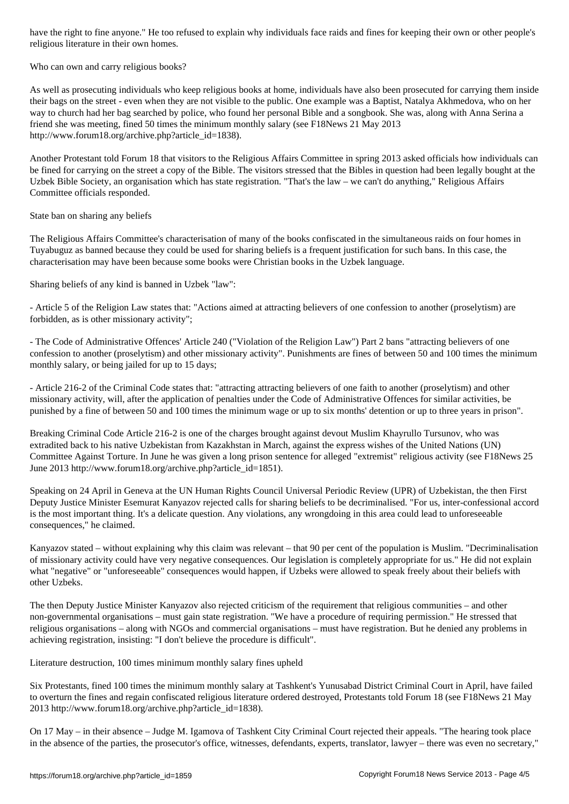religious literature in their own homes.

Who can own and carry religious books?

As well as prosecuting individuals who keep religious books at home, individuals have also been prosecuted for carrying them inside their bags on the street - even when they are not visible to the public. One example was a Baptist, Natalya Akhmedova, who on her way to church had her bag searched by police, who found her personal Bible and a songbook. She was, along with Anna Serina a friend she was meeting, fined 50 times the minimum monthly salary (see F18News 21 May 2013 http://www.forum18.org/archive.php?article\_id=1838).

Another Protestant told Forum 18 that visitors to the Religious Affairs Committee in spring 2013 asked officials how individuals can be fined for carrying on the street a copy of the Bible. The visitors stressed that the Bibles in question had been legally bought at the Uzbek Bible Society, an organisation which has state registration. "That's the law – we can't do anything," Religious Affairs Committee officials responded.

State ban on sharing any beliefs

The Religious Affairs Committee's characterisation of many of the books confiscated in the simultaneous raids on four homes in Tuyabuguz as banned because they could be used for sharing beliefs is a frequent justification for such bans. In this case, the characterisation may have been because some books were Christian books in the Uzbek language.

Sharing beliefs of any kind is banned in Uzbek "law":

- Article 5 of the Religion Law states that: "Actions aimed at attracting believers of one confession to another (proselytism) are forbidden, as is other missionary activity";

- The Code of Administrative Offences' Article 240 ("Violation of the Religion Law") Part 2 bans "attracting believers of one confession to another (proselytism) and other missionary activity". Punishments are fines of between 50 and 100 times the minimum monthly salary, or being jailed for up to 15 days;

- Article 216-2 of the Criminal Code states that: "attracting attracting believers of one faith to another (proselytism) and other missionary activity, will, after the application of penalties under the Code of Administrative Offences for similar activities, be punished by a fine of between 50 and 100 times the minimum wage or up to six months' detention or up to three years in prison".

Breaking Criminal Code Article 216-2 is one of the charges brought against devout Muslim Khayrullo Tursunov, who was extradited back to his native Uzbekistan from Kazakhstan in March, against the express wishes of the United Nations (UN) Committee Against Torture. In June he was given a long prison sentence for alleged "extremist" religious activity (see F18News 25 June 2013 http://www.forum18.org/archive.php?article\_id=1851).

Speaking on 24 April in Geneva at the UN Human Rights Council Universal Periodic Review (UPR) of Uzbekistan, the then First Deputy Justice Minister Esemurat Kanyazov rejected calls for sharing beliefs to be decriminalised. "For us, inter-confessional accord is the most important thing. It's a delicate question. Any violations, any wrongdoing in this area could lead to unforeseeable consequences," he claimed.

Kanyazov stated – without explaining why this claim was relevant – that 90 per cent of the population is Muslim. "Decriminalisation of missionary activity could have very negative consequences. Our legislation is completely appropriate for us." He did not explain what "negative" or "unforeseeable" consequences would happen, if Uzbeks were allowed to speak freely about their beliefs with other Uzbeks.

The then Deputy Justice Minister Kanyazov also rejected criticism of the requirement that religious communities – and other non-governmental organisations – must gain state registration. "We have a procedure of requiring permission." He stressed that religious organisations – along with NGOs and commercial organisations – must have registration. But he denied any problems in achieving registration, insisting: "I don't believe the procedure is difficult".

Literature destruction, 100 times minimum monthly salary fines upheld

Six Protestants, fined 100 times the minimum monthly salary at Tashkent's Yunusabad District Criminal Court in April, have failed to overturn the fines and regain confiscated religious literature ordered destroyed, Protestants told Forum 18 (see F18News 21 May 2013 http://www.forum18.org/archive.php?article\_id=1838).

On 17 May – in their absence – Judge M. Igamova of Tashkent City Criminal Court rejected their appeals. "The hearing took place in the absence of the parties, the prosecutor's office, witnesses, defendants, experts, translator, lawyer – there was even no secretary,"